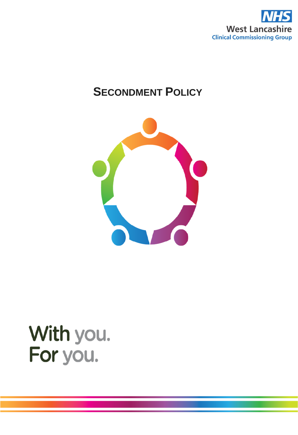

# **SECONDMENT POLICY**



# With you. For you.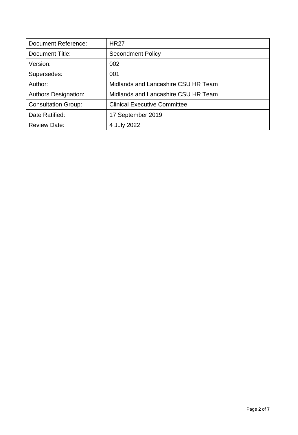| <b>Document Reference:</b>  | <b>HR27</b>                         |
|-----------------------------|-------------------------------------|
| Document Title:             | <b>Secondment Policy</b>            |
| Version:                    | 002                                 |
| Supersedes:                 | 001                                 |
| Author:                     | Midlands and Lancashire CSU HR Team |
| <b>Authors Designation:</b> | Midlands and Lancashire CSU HR Team |
| <b>Consultation Group:</b>  | <b>Clinical Executive Committee</b> |
| Date Ratified:              | 17 September 2019                   |
| <b>Review Date:</b>         | 4 July 2022                         |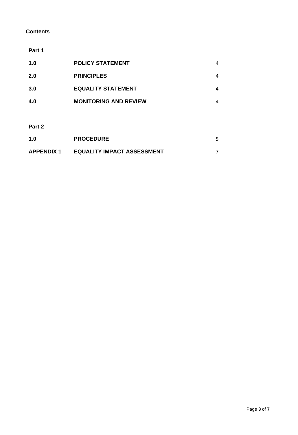# **Contents**

### **Part 1**

| 1.0        | <b>POLICY STATEMENT</b>      | 4 |
|------------|------------------------------|---|
| <b>2.0</b> | <b>PRINCIPLES</b>            | 4 |
| 3.0        | <b>EQUALITY STATEMENT</b>    | 4 |
| 4.0        | <b>MONITORING AND REVIEW</b> | 4 |
|            |                              |   |

**Part 2**

| 1.0               | <b>PROCEDURE</b>                  |  |
|-------------------|-----------------------------------|--|
| <b>APPENDIX 1</b> | <b>EQUALITY IMPACT ASSESSMENT</b> |  |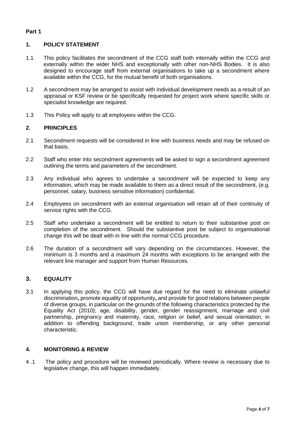## **Part 1**

# **1. POLICY STATEMENT**

- 1.1 This policy facilitates the secondment of the CCG staff both internally within the CCG and externally within the wider NHS and exceptionally with other non-NHS Bodies. It is also designed to encourage staff from external organisations to take up a secondment where available within the CCG, for the mutual benefit of both organisations.
- 1.2 A secondment may be arranged to assist with individual development needs as a result of an appraisal or KSF review or be specifically requested for project work where specific skills or specialist knowledge are required.
- 1.3 This Policy will apply to all employees within the CCG.

## **2. PRINCIPLES**

- 2.1 Secondment requests will be considered in line with business needs and may be refused on that basis.
- 2.2 Staff who enter into secondment agreements will be asked to sign a secondment agreement outlining the terms and parameters of the secondment.
- 2.3 Any individual who agrees to undertake a secondment will be expected to keep any information, which may be made available to them as a direct result of the secondment, (e.g. personnel, salary, business sensitive information) confidential.
- 2.4 Employees on secondment with an external organisation will retain all of their continuity of service rights with the CCG.
- 2.5 Staff who undertake a secondment will be entitled to return to their substantive post on completion of the secondment. Should the substantive post be subject to organisational change this will be dealt with in line with the normal CCG procedure.
- 2.6 The duration of a secondment will vary depending on the circumstances. However, the minimum is 3 months and a maximum 24 months with exceptions to be arranged with the relevant line manager and support from Human Resources.

# **3. EQUALITY**

3.1 In applying this policy, the CCG will have due regard for the need to eliminate unlawful discrimination**,** promote equality of opportunity**,** and provide for good relations between people of diverse groups, in particular on the grounds of the following characteristics protected by the Equality Act (2010); age, disability, gender, gender reassignment, marriage and civil partnership, pregnancy and maternity, race, religion or belief, and sexual orientation, in addition to offending background, trade union membership, or any other personal characteristic.

# **4. MONITORING & REVIEW**

4 .1 The policy and procedure will be reviewed periodically. Where review is necessary due to legislative change, this will happen immediately.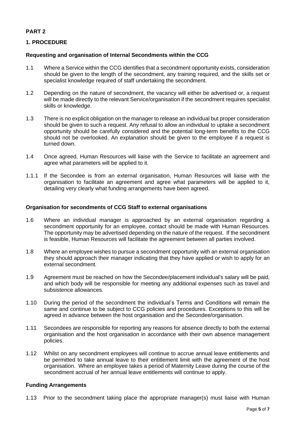# **PART 2**

# **1. PROCEDURE**

#### **Requesting and organisation of Internal Secondments within the CCG**

- 1.1 Where a Service within the CCG identifies that a secondment opportunity exists, consideration should be given to the length of the secondment, any training required, and the skills set or specialist knowledge required of staff undertaking the secondment.
- 1.2 Depending on the nature of secondment, the vacancy will either be advertised or, a request will be made directly to the relevant Service/organisation if the secondment requires specialist skills or knowledge.
- 1.3 There is no explicit obligation on the manager to release an individual but proper consideration should be given to such a request. Any refusal to allow an individual to uptake a secondment opportunity should be carefully considered and the potential long-term benefits to the CCG should not be overlooked. An explanation should be given to the employee if a request is turned down.
- 1.4 Once agreed, Human Resources will liaise with the Service to facilitate an agreement and agree what parameters will be applied to it.
- 1.1.1 If the Secondee is from an external organisation, Human Resources will liaise with the organisation to facilitate an agreement and agree what parameters will be applied to it, detailing very clearly what funding arrangements have been agreed.

#### **Organisation for secondments of CCG Staff to external organisations**

- 1.6 Where an individual manager is approached by an external organisation regarding a secondment opportunity for an employee, contact should be made with Human Resources. The opportunity may be advertised depending on the nature of the request. If the secondment is feasible, Human Resources will facilitate the agreement between all parties involved.
- 1.8 Where an employee wishes to pursue a secondment opportunity with an external organisation they should approach their manager indicating that they have applied or wish to apply for an external secondment.
- 1.9 Agreement must be reached on how the Secondee/placement individual's salary will be paid, and which body will be responsible for meeting any additional expenses such as travel and subsistence allowances.
- 1.10 During the period of the secondment the individual's Terms and Conditions will remain the same and continue to be subject to CCG policies and procedures. Exceptions to this will be agreed in advance between the host organisation and the Secondee/organisation.
- 1.11 Secondees are responsible for reporting any reasons for absence directly to both the external organisation and the host organisation in accordance with their own absence management policies.
- 1.12 Whilst on any secondment employees will continue to accrue annual leave entitlements and be permitted to take annual leave to their entitlement limit with the agreement of the host organisation. Where an employee takes a period of Maternity Leave during the course of the secondment accrual of her annual leave entitlements will continue to apply.

#### **Funding Arrangements**

1.13 Prior to the secondment taking place the appropriate manager(s) must liaise with Human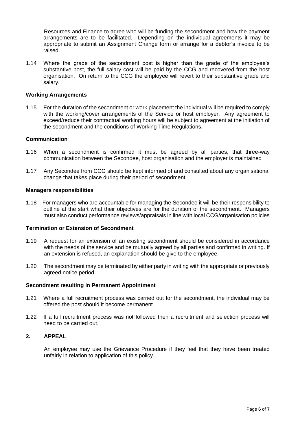Resources and Finance to agree who will be funding the secondment and how the payment arrangements are to be facilitated. Depending on the individual agreements it may be appropriate to submit an Assignment Change form or arrange for a debtor's invoice to be raised.

1.14 Where the grade of the secondment post is higher than the grade of the employee's substantive post, the full salary cost will be paid by the CCG and recovered from the host organisation. On return to the CCG the employee will revert to their substantive grade and salary.

#### **Working Arrangements**

1.15 For the duration of the secondment or work placement the individual will be required to comply with the working/cover arrangements of the Service or host employer. Any agreement to exceed/reduce their contractual working hours will be subject to agreement at the initiation of the secondment and the conditions of Working Time Regulations.

#### **Communication**

- 1.16 When a secondment is confirmed it must be agreed by all parties, that three-way communication between the Secondee, host organisation and the employer is maintained
- 1.17 Any Secondee from CCG should be kept informed of and consulted about any organisational change that takes place during their period of secondment.

#### **Managers responsibilities**

1.18 For managers who are accountable for managing the Secondee it will be their responsibility to outline at the start what their objectives are for the duration of the secondment. Managers must also conduct performance reviews/appraisals in line with local CCG/organisation policies

#### **Termination or Extension of Secondment**

- 1.19 A request for an extension of an existing secondment should be considered in accordance with the needs of the service and be mutually agreed by all parties and confirmed in writing. If an extension is refused, an explanation should be give to the employee.
- 1.20 The secondment may be terminated by either party in writing with the appropriate or previously agreed notice period.

#### **Secondment resulting in Permanent Appointment**

- 1.21 Where a full recruitment process was carried out for the secondment, the individual may be offered the post should it become permanent.
- 1.22 If a full recruitment process was not followed then a recruitment and selection process will need to be carried out.

#### **2. APPEAL**

An employee may use the Grievance Procedure if they feel that they have been treated unfairly in relation to application of this policy.